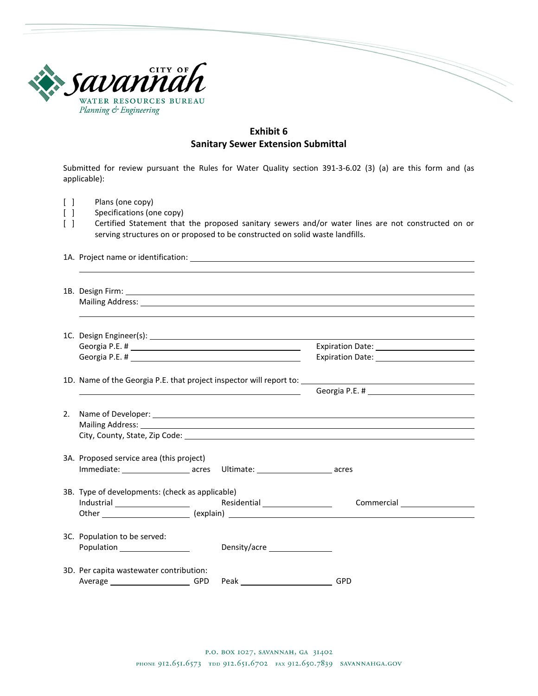

## **Exhibit 6 Sanitary Sewer Extension Submittal**

Submitted for review pursuant the Rules for Water Quality section 391-3-6.02 (3) (a) are this form and (as applicable):

- [ ] Plans (one copy)<br>[ ] Specifications (or
- Specifications (one copy)
- [ ] Certified Statement that the proposed sanitary sewers and/or water lines are not constructed on or serving structures on or proposed to be constructed on solid waste landfills.

1A. Project name or identification:

| 2. |                                                              |  |              |                                 |  |  |  |  |
|----|--------------------------------------------------------------|--|--------------|---------------------------------|--|--|--|--|
|    |                                                              |  |              |                                 |  |  |  |  |
|    | 3A. Proposed service area (this project)                     |  |              |                                 |  |  |  |  |
|    |                                                              |  |              |                                 |  |  |  |  |
|    | 3B. Type of developments: (check as applicable)              |  |              |                                 |  |  |  |  |
|    |                                                              |  |              | Other explain) explain(explain) |  |  |  |  |
|    | 3C. Population to be served:<br>Population _________________ |  | Density/acre |                                 |  |  |  |  |
|    | 3D. Per capita wastewater contribution:<br>Average GPD       |  | Peak GPD     |                                 |  |  |  |  |